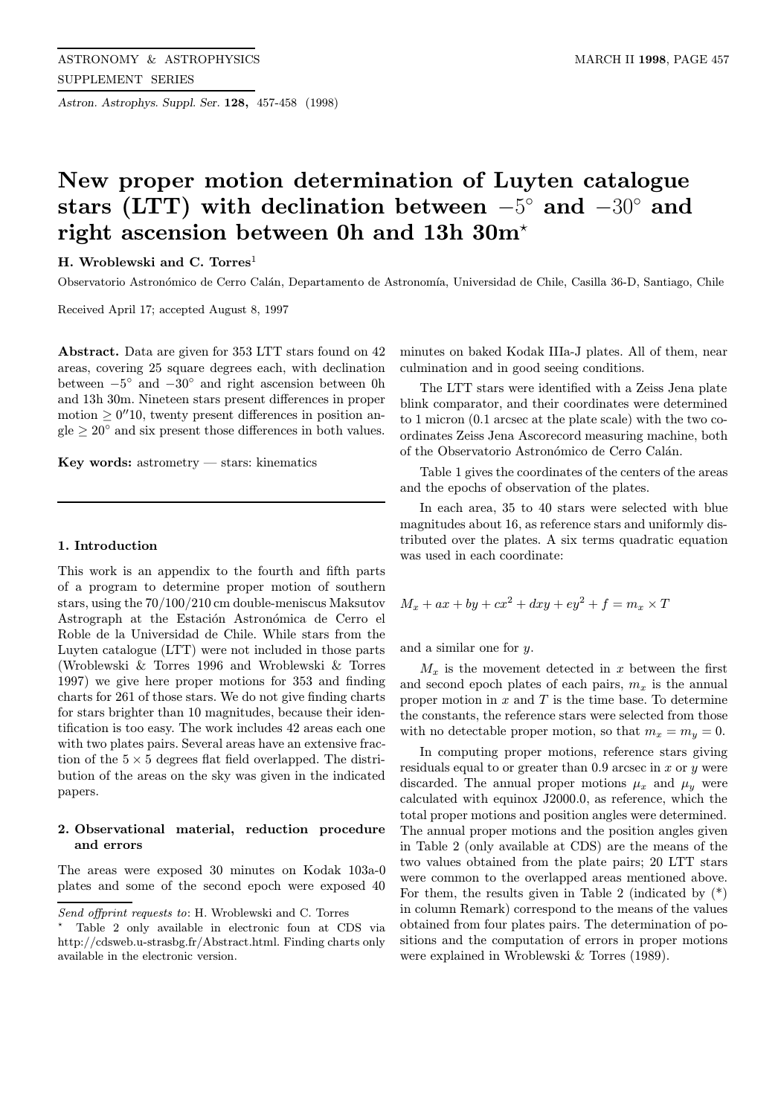Astron. Astrophys. Suppl. Ser. 128, 457-458 (1998)

# New proper motion determination of Luyten catalogue stars (LTT) with declination between  $-5°$  and  $-30°$  and right ascension between 0h and 13h 30m?

H. Wroblewski and C. Torres<sup>1</sup>

Observatorio Astronómico de Cerro Calán, Departamento de Astronomía, Universidad de Chile, Casilla 36-D, Santiago, Chile

Received April 17; accepted August 8, 1997

Abstract. Data are given for 353 LTT stars found on 42 areas, covering 25 square degrees each, with declination between  $-5°$  and  $-30°$  and right ascension between 0h and 13h 30m. Nineteen stars present differences in proper motion  $\geq 0''10$ , twenty present differences in position an $gle \geq 20^{\circ}$  and six present those differences in both values.

Key words: astrometry — stars: kinematics

### 1. Introduction

This work is an appendix to the fourth and fifth parts of a program to determine proper motion of southern stars, using the 70/100/210 cm double-meniscus Maksutov Astrograph at the Estación Astronómica de Cerro el Roble de la Universidad de Chile. While stars from the Luyten catalogue (LTT) were not included in those parts (Wroblewski & Torres 1996 and Wroblewski & Torres 1997) we give here proper motions for 353 and finding charts for 261 of those stars. We do not give finding charts for stars brighter than 10 magnitudes, because their identification is too easy. The work includes 42 areas each one with two plates pairs. Several areas have an extensive fraction of the  $5 \times 5$  degrees flat field overlapped. The distribution of the areas on the sky was given in the indicated papers.

## 2. Observational material, reduction procedure and errors

The areas were exposed 30 minutes on Kodak 103a-0 plates and some of the second epoch were exposed 40

minutes on baked Kodak IIIa-J plates. All of them, near culmination and in good seeing conditions.

The LTT stars were identified with a Zeiss Jena plate blink comparator, and their coordinates were determined to 1 micron (0.1 arcsec at the plate scale) with the two coordinates Zeiss Jena Ascorecord measuring machine, both of the Observatorio Astronómico de Cerro Calán.

Table 1 gives the coordinates of the centers of the areas and the epochs of observation of the plates.

In each area, 35 to 40 stars were selected with blue magnitudes about 16, as reference stars and uniformly distributed over the plates. A six terms quadratic equation was used in each coordinate:

$$
M_x + ax + by + cx^2 + dxy + ey^2 + f = m_x \times T
$$

and a similar one for y.

 $M_x$  is the movement detected in x between the first and second epoch plates of each pairs,  $m_x$  is the annual proper motion in  $x$  and  $T$  is the time base. To determine the constants, the reference stars were selected from those with no detectable proper motion, so that  $m_x = m_y = 0$ .

In computing proper motions, reference stars giving residuals equal to or greater than  $0.9$  arcsec in x or y were discarded. The annual proper motions  $\mu_x$  and  $\mu_y$  were calculated with equinox J2000.0, as reference, which the total proper motions and position angles were determined. The annual proper motions and the position angles given in Table 2 (only available at CDS) are the means of the two values obtained from the plate pairs; 20 LTT stars were common to the overlapped areas mentioned above. For them, the results given in Table 2 (indicated by  $(*)$ ) in column Remark) correspond to the means of the values obtained from four plates pairs. The determination of positions and the computation of errors in proper motions were explained in Wroblewski & Torres (1989).

Send offprint requests to: H. Wroblewski and C. Torres

<sup>?</sup> Table 2 only available in electronic foun at CDS via http://cdsweb.u-strasbg.fr/Abstract.html. Finding charts only available in the electronic version.